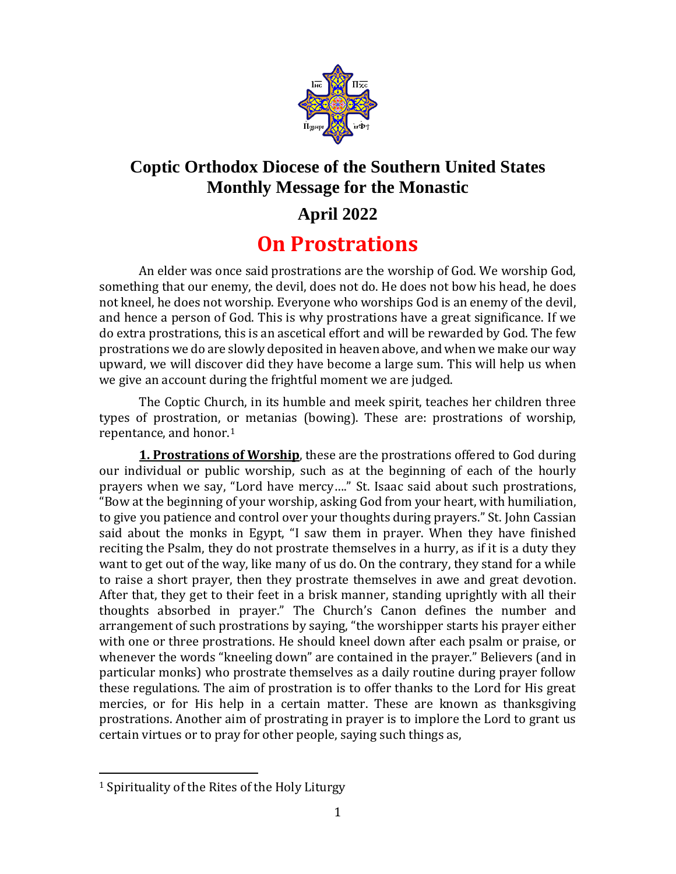

## **Coptic Orthodox Diocese of the Southern United States Monthly Message for the Monastic**

**April 2022**

## **On Prostrations**

An elder was once said prostrations are the worship of God. We worship God, something that our enemy, the devil, does not do. He does not bow his head, he does not kneel, he does not worship. Everyone who worships God is an enemy of the devil, and hence a person of God. This is why prostrations have a great significance. If we do extra prostrations, this is an ascetical effort and will be rewarded by God. The few prostrations we do are slowly deposited in heaven above, and when we make our way upward, we will discover did they have become a large sum. This will help us when we give an account during the frightful moment we are judged.

The Coptic Church, in its humble and meek spirit, teaches her children three types of prostration, or metanias (bowing). These are: prostrations of worship, repentance, and honor.[1](#page-0-0)

**1. Prostrations of Worship**, these are the prostrations offered to God during our individual or public worship, such as at the beginning of each of the hourly prayers when we say, "Lord have mercy…." St. Isaac said about such prostrations, "Bow at the beginning of your worship, asking God from your heart, with humiliation, to give you patience and control over your thoughts during prayers." St. John Cassian said about the monks in Egypt, "I saw them in prayer. When they have finished reciting the Psalm, they do not prostrate themselves in a hurry, as if it is a duty they want to get out of the way, like many of us do. On the contrary, they stand for a while to raise a short prayer, then they prostrate themselves in awe and great devotion. After that, they get to their feet in a brisk manner, standing uprightly with all their thoughts absorbed in prayer." The Church's Canon defines the number and arrangement of such prostrations by saying, "the worshipper starts his prayer either with one or three prostrations. He should kneel down after each psalm or praise, or whenever the words "kneeling down" are contained in the prayer." Believers (and in particular monks) who prostrate themselves as a daily routine during prayer follow these regulations. The aim of prostration is to offer thanks to the Lord for His great mercies, or for His help in a certain matter. These are known as thanksgiving prostrations. Another aim of prostrating in prayer is to implore the Lord to grant us certain virtues or to pray for other people, saying such things as,

<span id="page-0-0"></span><sup>1</sup> Spirituality of the Rites of the Holy Liturgy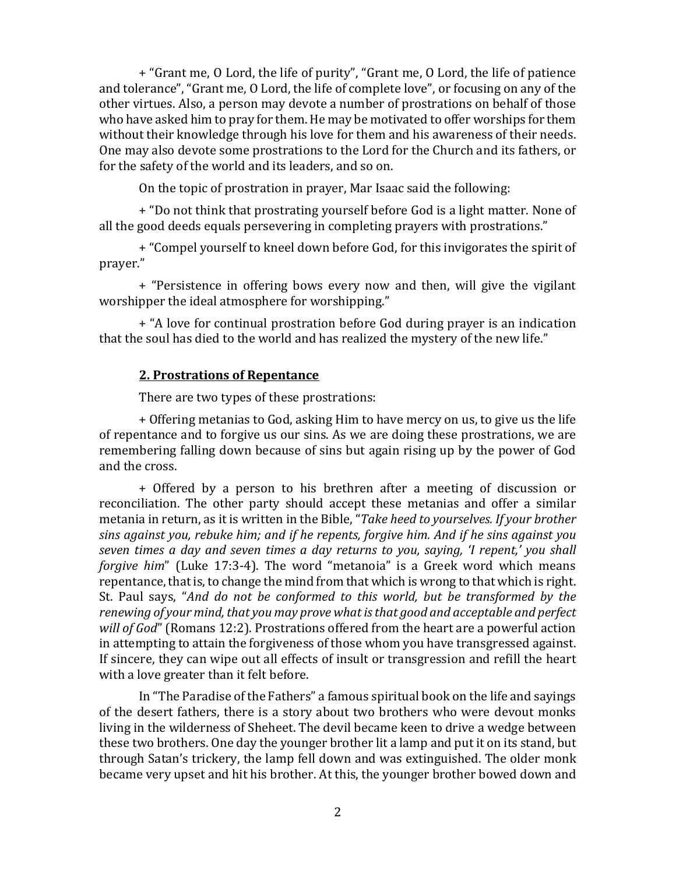+ "Grant me, O Lord, the life of purity", "Grant me, O Lord, the life of patience and tolerance", "Grant me, O Lord, the life of complete love", or focusing on any of the other virtues. Also, a person may devote a number of prostrations on behalf of those who have asked him to pray for them. He may be motivated to offer worships for them without their knowledge through his love for them and his awareness of their needs. One may also devote some prostrations to the Lord for the Church and its fathers, or for the safety of the world and its leaders, and so on.

On the topic of prostration in prayer, Mar Isaac said the following:

+ "Do not think that prostrating yourself before God is a light matter. None of all the good deeds equals persevering in completing prayers with prostrations."

+ "Compel yourself to kneel down before God, for this invigorates the spirit of prayer."

+ "Persistence in offering bows every now and then, will give the vigilant worshipper the ideal atmosphere for worshipping."

+ "A love for continual prostration before God during prayer is an indication that the soul has died to the world and has realized the mystery of the new life."

## **2. Prostrations of Repentance**

There are two types of these prostrations:

+ Offering metanias to God, asking Him to have mercy on us, to give us the life of repentance and to forgive us our sins. As we are doing these prostrations, we are remembering falling down because of sins but again rising up by the power of God and the cross.

+ Offered by a person to his brethren after a meeting of discussion or reconciliation. The other party should accept these metanias and offer a similar metania in return, as it is written in the Bible, "*Take heed to yourselves. If your brother sins against you, rebuke him; and if he repents, forgive him. And if he sins against you seven times a day and seven times a day returns to you, saying, 'I repent,' you shall forgive him*" (Luke 17:3-4). The word "metanoia" is a Greek word which means repentance, that is, to change the mind from that which is wrong to that which is right. St. Paul says, "*And do not be conformed to this world, but be transformed by the renewing of your mind, that you may prove what is that good and acceptable and perfect will of God*" (Romans 12:2). Prostrations offered from the heart are a powerful action in attempting to attain the forgiveness of those whom you have transgressed against. If sincere, they can wipe out all effects of insult or transgression and refill the heart with a love greater than it felt before.

In "The Paradise of the Fathers" a famous spiritual book on the life and sayings of the desert fathers, there is a story about two brothers who were devout monks living in the wilderness of Sheheet. The devil became keen to drive a wedge between these two brothers. One day the younger brother lit a lamp and put it on its stand, but through Satan's trickery, the lamp fell down and was extinguished. The older monk became very upset and hit his brother. At this, the younger brother bowed down and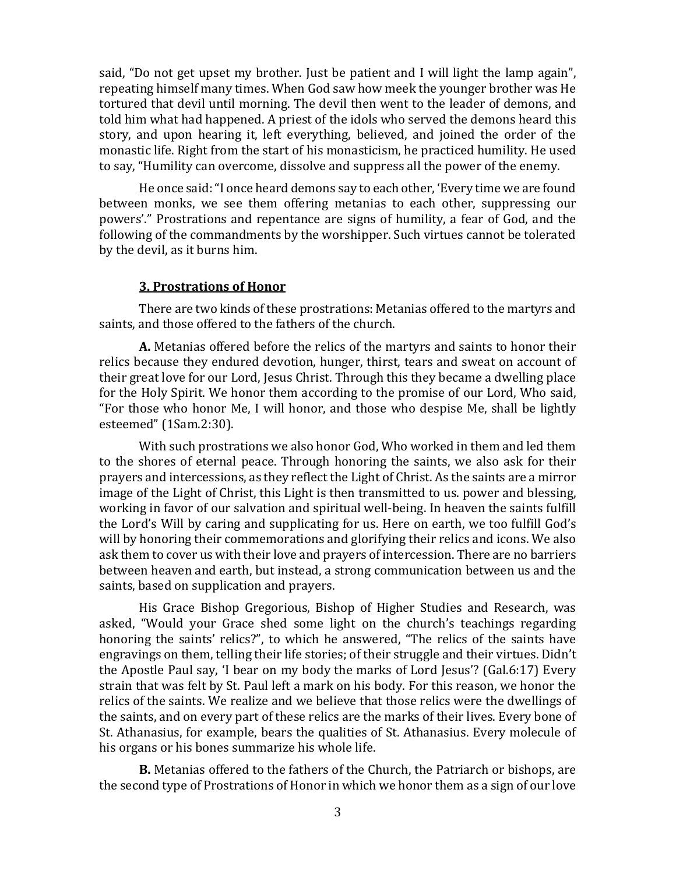said, "Do not get upset my brother. Just be patient and I will light the lamp again", repeating himself many times. When God saw how meek the younger brother was He tortured that devil until morning. The devil then went to the leader of demons, and told him what had happened. A priest of the idols who served the demons heard this story, and upon hearing it, left everything, believed, and joined the order of the monastic life. Right from the start of his monasticism, he practiced humility. He used to say, "Humility can overcome, dissolve and suppress all the power of the enemy.

He once said: "I once heard demons say to each other, 'Every time we are found between monks, we see them offering metanias to each other, suppressing our powers'." Prostrations and repentance are signs of humility, a fear of God, and the following of the commandments by the worshipper. Such virtues cannot be tolerated by the devil, as it burns him.

## **3. Prostrations of Honor**

There are two kinds of these prostrations: Metanias offered to the martyrs and saints, and those offered to the fathers of the church.

**A.** Metanias offered before the relics of the martyrs and saints to honor their relics because they endured devotion, hunger, thirst, tears and sweat on account of their great love for our Lord, Jesus Christ. Through this they became a dwelling place for the Holy Spirit. We honor them according to the promise of our Lord, Who said, "For those who honor Me, I will honor, and those who despise Me, shall be lightly esteemed" (1Sam.2:30).

With such prostrations we also honor God, Who worked in them and led them to the shores of eternal peace. Through honoring the saints, we also ask for their prayers and intercessions, as they reflect the Light of Christ. As the saints are a mirror image of the Light of Christ, this Light is then transmitted to us. power and blessing, working in favor of our salvation and spiritual well-being. In heaven the saints fulfill the Lord's Will by caring and supplicating for us. Here on earth, we too fulfill God's will by honoring their commemorations and glorifying their relics and icons. We also ask them to cover us with their love and prayers of intercession. There are no barriers between heaven and earth, but instead, a strong communication between us and the saints, based on supplication and prayers.

His Grace Bishop Gregorious, Bishop of Higher Studies and Research, was asked, "Would your Grace shed some light on the church's teachings regarding honoring the saints' relics?", to which he answered, "The relics of the saints have engravings on them, telling their life stories; of their struggle and their virtues. Didn't the Apostle Paul say, 'I bear on my body the marks of Lord Jesus'? (Gal.6:17) Every strain that was felt by St. Paul left a mark on his body. For this reason, we honor the relics of the saints. We realize and we believe that those relics were the dwellings of the saints, and on every part of these relics are the marks of their lives. Every bone of St. Athanasius, for example, bears the qualities of St. Athanasius. Every molecule of his organs or his bones summarize his whole life.

**B.** Metanias offered to the fathers of the Church, the Patriarch or bishops, are the second type of Prostrations of Honor in which we honor them as a sign of our love